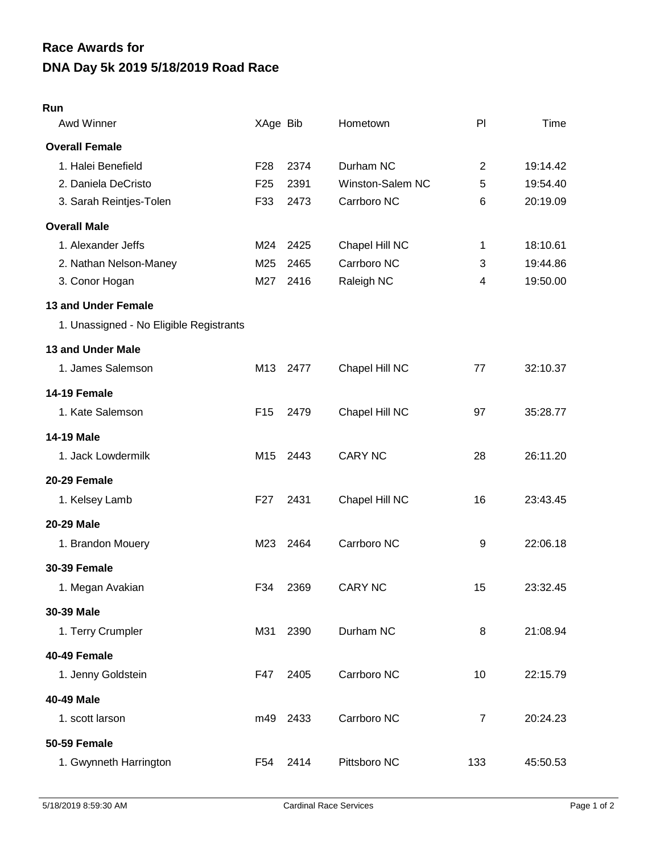## **DNA Day 5k 2019 5/18/2019 Road Race Race Awards for**

## **Run**

| Awd Winner                              | XAge Bib        |      | Hometown         | PI             | Time     |
|-----------------------------------------|-----------------|------|------------------|----------------|----------|
| <b>Overall Female</b>                   |                 |      |                  |                |          |
| 1. Halei Benefield                      | F <sub>28</sub> | 2374 | Durham NC        | 2              | 19:14.42 |
| 2. Daniela DeCristo                     | F <sub>25</sub> | 2391 | Winston-Salem NC | 5              | 19:54.40 |
| 3. Sarah Reintjes-Tolen                 | F33             | 2473 | Carrboro NC      | 6              | 20:19.09 |
| <b>Overall Male</b>                     |                 |      |                  |                |          |
| 1. Alexander Jeffs                      | M24             | 2425 | Chapel Hill NC   | 1              | 18:10.61 |
| 2. Nathan Nelson-Maney                  | M25             | 2465 | Carrboro NC      | 3              | 19:44.86 |
| 3. Conor Hogan                          | M27             | 2416 | Raleigh NC       | 4              | 19:50.00 |
| <b>13 and Under Female</b>              |                 |      |                  |                |          |
| 1. Unassigned - No Eligible Registrants |                 |      |                  |                |          |
| 13 and Under Male                       |                 |      |                  |                |          |
| 1. James Salemson                       | M13             | 2477 | Chapel Hill NC   | 77             | 32:10.37 |
| 14-19 Female                            |                 |      |                  |                |          |
| 1. Kate Salemson                        | F <sub>15</sub> | 2479 | Chapel Hill NC   | 97             | 35:28.77 |
| <b>14-19 Male</b>                       |                 |      |                  |                |          |
| 1. Jack Lowdermilk                      | M15             | 2443 | <b>CARY NC</b>   | 28             | 26:11.20 |
| 20-29 Female                            |                 |      |                  |                |          |
| 1. Kelsey Lamb                          | F <sub>27</sub> | 2431 | Chapel Hill NC   | 16             | 23:43.45 |
| <b>20-29 Male</b>                       |                 |      |                  |                |          |
| 1. Brandon Mouery                       | M23             | 2464 | Carrboro NC      | 9              | 22:06.18 |
| <b>30-39 Female</b>                     |                 |      |                  |                |          |
| 1. Megan Avakian                        | F34             | 2369 | <b>CARY NC</b>   | 15             | 23:32.45 |
| 30-39 Male                              |                 |      |                  |                |          |
| 1. Terry Crumpler                       | M31             | 2390 | Durham NC        | 8              | 21:08.94 |
| 40-49 Female                            |                 |      |                  |                |          |
| 1. Jenny Goldstein                      | F47             | 2405 | Carrboro NC      | 10             | 22:15.79 |
| 40-49 Male                              |                 |      |                  |                |          |
| 1. scott larson                         | m49             | 2433 | Carrboro NC      | $\overline{7}$ | 20:24.23 |
| <b>50-59 Female</b>                     |                 |      |                  |                |          |
| 1. Gwynneth Harrington                  | F54             | 2414 | Pittsboro NC     | 133            | 45:50.53 |
|                                         |                 |      |                  |                |          |